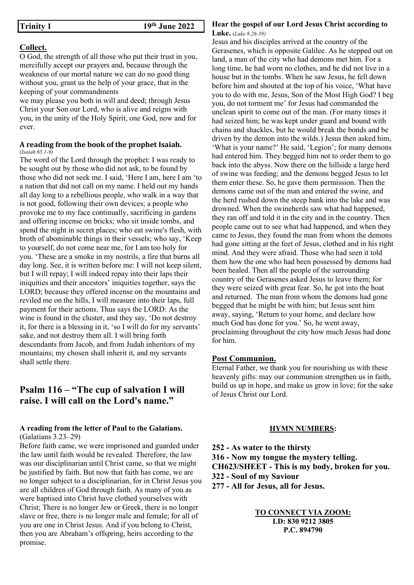#### Collect.

O God, the strength of all those who put their trust in you, mercifully accept our prayers and, because through the weakness of our mortal nature we can do no good thing without you, grant us the help of your grace, that in the keeping of your commandments

we may please you both in will and deed; through Jesus Christ your Son our Lord, who is alive and reigns with you, in the unity of the Holy Spirit, one God, now and for ever.

## A reading from the book of the prophet Isaiah.

(Isaiah 65.1-9) The word of the Lord through the prophet: I was ready to be sought out by those who did not ask, to be found by those who did not seek me. I said, 'Here I am, here I am 'to a nation that did not call on my name. I held out my hands all day long to a rebellious people, who walk in a way that is not good, following their own devices; a people who provoke me to my face continually, sacrificing in gardens and offering incense on bricks; who sit inside tombs, and spend the night in secret places; who eat swine's flesh, with broth of abominable things in their vessels; who say, 'Keep to yourself, do not come near me, for I am too holy for you. 'These are a smoke in my nostrils, a fire that burns all day long. See, it is written before me: I will not keep silent, but I will repay; I will indeed repay into their laps their iniquities and their ancestors' iniquities together, says the LORD; because they offered incense on the mountains and reviled me on the hills, I will measure into their laps, full payment for their actions. Thus says the LORD: As the wine is found in the cluster, and they say, 'Do not destroy it, for there is a blessing in it, 'so I will do for my servants' sake, and not destroy them all. I will bring forth descendants from Jacob, and from Judah inheritors of my mountains; my chosen shall inherit it, and my servants shall settle there.

## Psalm 116 – "The cup of salvation I will raise. I will call on the Lord's name."

#### A reading from the letter of Paul to the Galatians. (Galatians 3.23–29)

Before faith came, we were imprisoned and guarded under the law until faith would be revealed. Therefore, the law was our disciplinarian until Christ came, so that we might be justified by faith. But now that faith has come, we are no longer subject to a disciplinarian, for in Christ Jesus you are all children of God through faith. As many of you as were baptised into Christ have clothed yourselves with Christ; There is no longer Jew or Greek, there is no longer slave or free, there is no longer male and female; for all of you are one in Christ Jesus. And if you belong to Christ, then you are Abraham's offspring, heirs according to the promise.

## Hear the gospel of our Lord Jesus Christ according to

Luke. (Luke 8.26-39)

Jesus and his disciples arrived at the country of the Gerasenes, which is opposite Galilee. As he stepped out on land, a man of the city who had demons met him. For a long time, he had worn no clothes, and he did not live in a house but in the tombs. When he saw Jesus, he fell down before him and shouted at the top of his voice, 'What have you to do with me, Jesus, Son of the Most High God? I beg you, do not torment me' for Jesus had commanded the unclean spirit to come out of the man. (For many times it had seized him; he was kept under guard and bound with chains and shackles, but he would break the bonds and be driven by the demon into the wilds.) Jesus then asked him, 'What is your name?' He said, 'Legion'; for many demons had entered him. They begged him not to order them to go back into the abyss. Now there on the hillside a large herd of swine was feeding; and the demons begged Jesus to let them enter these. So, he gave them permission. Then the demons came out of the man and entered the swine, and the herd rushed down the steep bank into the lake and was drowned. When the swineherds saw what had happened, they ran off and told it in the city and in the country. Then people came out to see what had happened, and when they came to Jesus, they found the man from whom the demons had gone sitting at the feet of Jesus, clothed and in his right mind. And they were afraid. Those who had seen it told them how the one who had been possessed by demons had been healed. Then all the people of the surrounding country of the Gerasenes asked Jesus to leave them; for they were seized with great fear. So, he got into the boat and returned. The man from whom the demons had gone begged that he might be with him; but Jesus sent him away, saying, 'Return to your home, and declare how much God has done for you.' So, he went away, proclaiming throughout the city how much Jesus had done for him.

## Post Communion.

Eternal Father, we thank you for nourishing us with these heavenly gifts: may our communion strengthen us in faith, build us up in hope, and make us grow in love; for the sake of Jesus Christ our Lord.

## HYMN NUMBERS:

252 - As water to the thirsty 316 - Now my tongue the mystery telling. CH623/SHEET - This is my body, broken for you. 322 - Soul of my Saviour 277 - All for Jesus, all for Jesus.

> TO CONNECT VIA ZOOM: I.D: 830 9212 3805 P.C. 894790